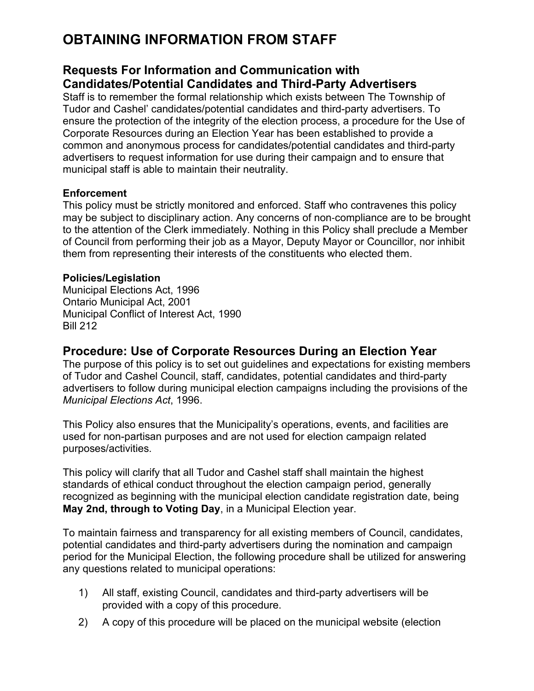# **OBTAINING INFORMATION FROM STAFF**

### **Requests For Information and Communication with Candidates/Potential Candidates and Third-Party Advertisers**

Staff is to remember the formal relationship which exists between The Township of Tudor and Cashel' candidates/potential candidates and third-party advertisers. To ensure the protection of the integrity of the election process, a procedure for the Use of Corporate Resources during an Election Year has been established to provide a common and anonymous process for candidates/potential candidates and third-party advertisers to request information for use during their campaign and to ensure that municipal staff is able to maintain their neutrality.

#### **Enforcement**

This policy must be strictly monitored and enforced. Staff who contravenes this policy may be subject to disciplinary action. Any concerns of non‐compliance are to be brought to the attention of the Clerk immediately. Nothing in this Policy shall preclude a Member of Council from performing their job as a Mayor, Deputy Mayor or Councillor, nor inhibit them from representing their interests of the constituents who elected them.

#### **Policies/Legislation**

Municipal Elections Act, 1996 Ontario Municipal Act, 2001 Municipal Conflict of Interest Act, 1990 Bill 212

### **Procedure: Use of Corporate Resources During an Election Year**

The purpose of this policy is to set out guidelines and expectations for existing members of Tudor and Cashel Council, staff, candidates, potential candidates and third-party advertisers to follow during municipal election campaigns including the provisions of the *Municipal Elections Act*, 1996.

This Policy also ensures that the Municipality's operations, events, and facilities are used for non-partisan purposes and are not used for election campaign related purposes/activities.

This policy will clarify that all Tudor and Cashel staff shall maintain the highest standards of ethical conduct throughout the election campaign period, generally recognized as beginning with the municipal election candidate registration date, being **May 2nd, through to Voting Day**, in a Municipal Election year.

To maintain fairness and transparency for all existing members of Council, candidates, potential candidates and third-party advertisers during the nomination and campaign period for the Municipal Election, the following procedure shall be utilized for answering any questions related to municipal operations:

- 1) All staff, existing Council, candidates and third-party advertisers will be provided with a copy of this procedure.
- 2) A copy of this procedure will be placed on the municipal website (election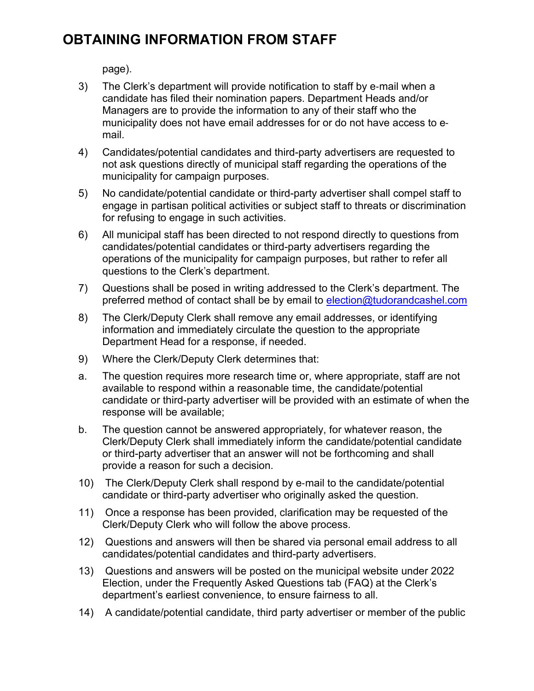## **OBTAINING INFORMATION FROM STAFF**

page).

- 3) The Clerk's department will provide notification to staff by e‐mail when a candidate has filed their nomination papers. Department Heads and/or Managers are to provide the information to any of their staff who the municipality does not have email addresses for or do not have access to e‐ mail.
- 4) Candidates/potential candidates and third-party advertisers are requested to not ask questions directly of municipal staff regarding the operations of the municipality for campaign purposes.
- 5) No candidate/potential candidate or third-party advertiser shall compel staff to engage in partisan political activities or subject staff to threats or discrimination for refusing to engage in such activities.
- 6) All municipal staff has been directed to not respond directly to questions from candidates/potential candidates or third-party advertisers regarding the operations of the municipality for campaign purposes, but rather to refer all questions to the Clerk's department.
- 7) Questions shall be posed in writing addressed to the Clerk's department. The preferred method of contact shall be by email to election@tudorandcashel.com
- 8) The Clerk/Deputy Clerk shall remove any email addresses, or identifying information and immediately circulate the question to the appropriate Department Head for a response, if needed.
- 9) Where the Clerk/Deputy Clerk determines that:
- a. The question requires more research time or, where appropriate, staff are not available to respond within a reasonable time, the candidate/potential candidate or third-party advertiser will be provided with an estimate of when the response will be available;
- b. The question cannot be answered appropriately, for whatever reason, the Clerk/Deputy Clerk shall immediately inform the candidate/potential candidate or third-party advertiser that an answer will not be forthcoming and shall provide a reason for such a decision.
- 10) The Clerk/Deputy Clerk shall respond by e‐mail to the candidate/potential candidate or third-party advertiser who originally asked the question.
- 11) Once a response has been provided, clarification may be requested of the Clerk/Deputy Clerk who will follow the above process.
- 12) Questions and answers will then be shared via personal email address to all candidates/potential candidates and third-party advertisers.
- 13) Questions and answers will be posted on the municipal website under 2022 Election, under the Frequently Asked Questions tab (FAQ) at the Clerk's department's earliest convenience, to ensure fairness to all.
- 14) A candidate/potential candidate, third party advertiser or member of the public